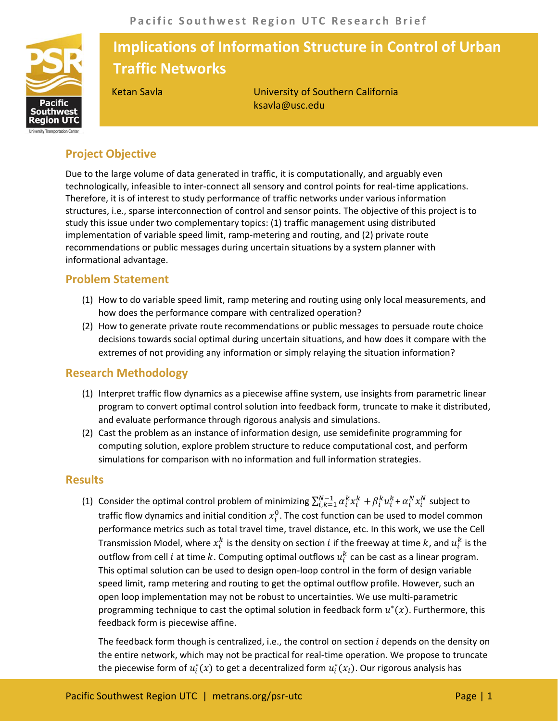

# **Implications of Information Structure in Control of Urban Traffic Networks**

Ketan Savla University of Southern California ksavla@usc.edu

## **Project Objective**

Due to the large volume of data generated in traffic, it is computationally, and arguably even technologically, infeasible to inter-connect all sensory and control points for real-time applications. Therefore, it is of interest to study performance of traffic networks under various information structures, i.e., sparse interconnection of control and sensor points. The objective of this project is to study this issue under two complementary topics: (1) traffic management using distributed implementation of variable speed limit, ramp-metering and routing, and (2) private route recommendations or public messages during uncertain situations by a system planner with informational advantage.

## **Problem Statement**

- (1) How to do variable speed limit, ramp metering and routing using only local measurements, and how does the performance compare with centralized operation?
- (2) How to generate private route recommendations or public messages to persuade route choice decisions towards social optimal during uncertain situations, and how does it compare with the extremes of not providing any information or simply relaying the situation information?

## **Research Methodology**

- (1) Interpret traffic flow dynamics as a piecewise affine system, use insights from parametric linear program to convert optimal control solution into feedback form, truncate to make it distributed, and evaluate performance through rigorous analysis and simulations.
- (2) Cast the problem as an instance of information design, use semidefinite programming for computing solution, explore problem structure to reduce computational cost, and perform simulations for comparison with no information and full information strategies.

#### **Results**

(1) Consider the optimal control problem of minimizing  $\sum_{i,k=1}^{N-1}\alpha_i^kx_i^k+\beta_i^ku_i^k+\alpha_i^Nx_i^N$  subject to traffic flow dynamics and initial condition  $x_i^0.$  The cost function can be used to model common performance metrics such as total travel time, travel distance, etc. In this work, we use the Cell Transmission Model, where  $x_i^k$  is the density on section  $i$  if the freeway at time  $k$ , and  $u_i^k$  is the outflow from cell  $i$  at time  $k$ . Computing optimal outflows  $u_i^k$  can be cast as a linear program. This optimal solution can be used to design open-loop control in the form of design variable speed limit, ramp metering and routing to get the optimal outflow profile. However, such an open loop implementation may not be robust to uncertainties. We use multi-parametric programming technique to cast the optimal solution in feedback form  $u^*(x)$ . Furthermore, this feedback form is piecewise affine.

The feedback form though is centralized, i.e., the control on section  $i$  depends on the density on the entire network, which may not be practical for real-time operation. We propose to truncate the piecewise form of  $u_i^*(x)$  to get a decentralized form  $u_i^*(x_i)$ . Our rigorous analysis has